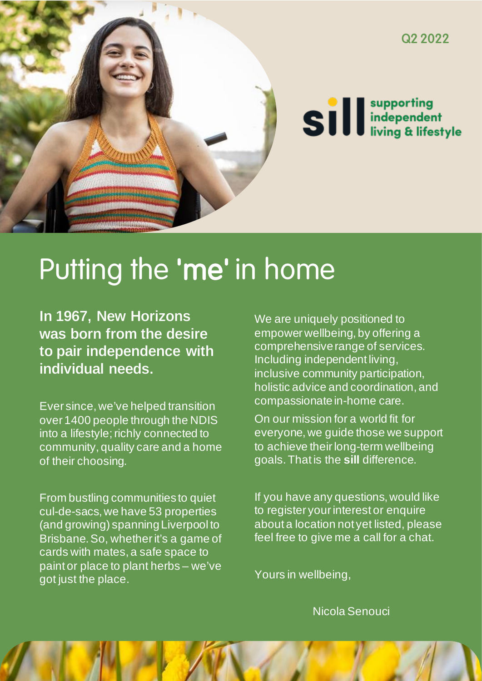

# Putting the 'me' in home

In 1967, New Horizons was born from the desire to pair independence with individual needs.

Ever since, we've helped transition over 1400 people through the NDIS into a lifestyle; richly connected to community, quality care and a home of their choosing.

From bustling communities to quiet cul-de-sacs, we have 53 properties (and growing) spanning Liverpool to Brisbane. So, whether it's a game of cards with mates, a safe space to paint or place to plant herbs – we've got just the place.

We are uniquely positioned to empower wellbeing, by offering a comprehensive range of services. Including independent living, inclusive community participation, holistic advice and coordination, and compassionate in-home care.

On our mission for a world fit for everyone, we guide those we support to achieve their long-term wellbeing goals. That is the **sill** difference.

If you have any questions, would like to register your interest or enquire about a location not yet listed, please feel free to give me a call for a chat.

Yours in wellbeing,

Nicola Senouci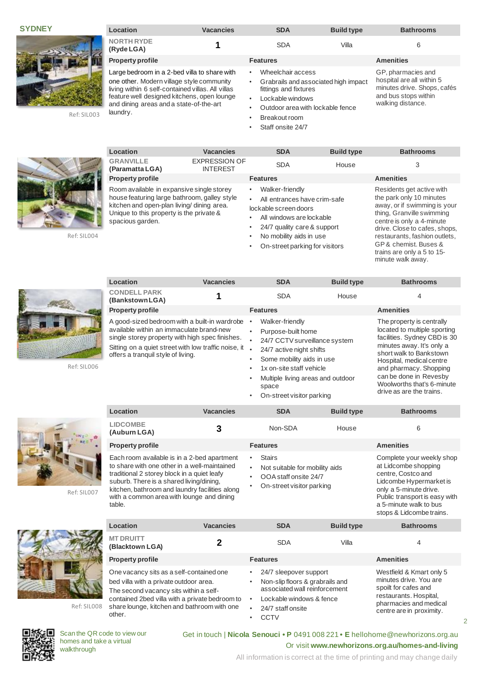**SYDNEY**



Ref: SIL003

| Location                                                                                                                                                                                                                                             | <b>Vacancies</b> | <b>SDA</b>                                                                                                                                                                      | <b>Build type</b> | <b>Bathrooms</b>                                                                                                            |
|------------------------------------------------------------------------------------------------------------------------------------------------------------------------------------------------------------------------------------------------------|------------------|---------------------------------------------------------------------------------------------------------------------------------------------------------------------------------|-------------------|-----------------------------------------------------------------------------------------------------------------------------|
| <b>NORTH RYDE</b><br>(Ryde LGA)                                                                                                                                                                                                                      |                  | <b>SDA</b>                                                                                                                                                                      | Villa             | 6                                                                                                                           |
| <b>Property profile</b>                                                                                                                                                                                                                              |                  | <b>Features</b>                                                                                                                                                                 |                   | <b>Amenities</b>                                                                                                            |
| Large bedroom in a 2-bed villa to share with<br>one other. Modern village style community<br>living within 6 self-contained villas. All villas<br>feature well designed kitchens, open lounge<br>and dining areas and a state-of-the-art<br>laundry. |                  | Wheelchair access<br>٠<br>Grabrails and associated high impact<br>٠<br>fittings and fixtures<br>Lockable windows<br>٠<br>Outdoor area with lockable fence<br>٠<br>Breakout room |                   | GP, pharmacies and<br>hospital are all within 5<br>minutes drive. Shops, cafés<br>and bus stops within<br>walking distance. |

Staff onsite 24/7



Ref: SIL004

**CONDELL PARK** 

offers a tranquil style of living.



**Location Vacancies SDA Build type Bathrooms**

• Walker-friendly • Purpose-built home

24/7 active night shifts Some mobility aids in use 1x on-site staff vehicle

• On-street visitor parking

24/7 CCTV surveillance system

• Multiple living areas and outdoor

**(Bankstown LGA) 1** SDA House <sup>4</sup> **Property profile Features Amenities**

space

• On-street parking for visitors

GP & chemist. Buses & trains are only a 5 to 15 minute walk away.

The property is centrally located to multiple sporting facilities. Sydney CBD is 30 minutes away. It's only a short walk to Bankstown Hospital, medical centre and pharmacy. Shopping can be done in Revesby Woolworths that's 6-minute drive as are the trains.

Complete your weekly shop at Lidcombe shopping centre, Costco and Lidcombe Hypermarket is

spoilt for cafes and restaurants. Hospital, pharmacies and medical centre are in proximity.

 $\overline{2}$ 





Ref: SIL007



Ref: SIL008



Scan the QR code to view our homes and take a virtual walkthrough

other.

**MT DRUITT**

## Get in touch | **Nicola Senouci • P** 0491 008 221 **• E** hellohome@newhorizons.org.au Or visit **www.newhorizons.org.au/homes-and-living**

All information is correct at the time of printing and may change daily

**Location Vacancies SDA Build type Bathrooms LIDCOMBE (Auburn LGA) 3** Non-SDA House <sup>6</sup> **Property profile Features Amenities** Each room available is in a 2-bed apartment to share with one other in a well-maintained traditional 2 storey block in a quiet leafy suburb. There is a shared living/dining, kitchen, bathroom and laundry facilities along with a common area with lounge and dining table.

One vacancy sits as a self-contained one bed villa with a private outdoor area. The second vacancy sits within a selfcontained 2bed villa with a private bedroom to share lounge, kitchen and bathroom with one

A good-sized bedroom with a built-in wardrobe available within an immaculate brand-new single storey property with high spec finishes. Sitting on a quiet street with low traffic noise, it

> **Stairs** • Not suitable for mobility aids • OOA staff onsite 24/7 • On-street visitor parking

- only a 5-minute drive. Public transport is easy with a 5-minute walk to bus stops & Lidcombe trains. **Location Vacancies SDA Build type Bathrooms 12** SDA Villa 4 SDA Villa 4 SDA 4 Villa **Property profile Features Amenities** • 24/7 sleepover support Westfield & Kmart only 5 minutes drive. You are
	- Non-slip floors & grabrails and associated wall reinforcement Lockable windows & fence
	- 24/7 staff onsite
	- CCTV
	-



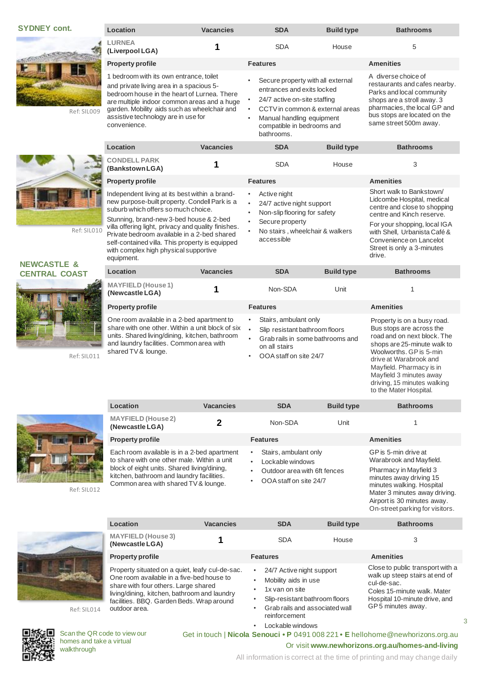#### **SYDNEY cont.**

Ref: SIL009



Ref: SIL010

#### **NEWCASTLE & CENTRAL COAST**



Ref: SIL011



Independent living at its best within a brandnew purpos suburb which Stunning, b

| new purpose-built property. Condell Park is a<br>suburb which offers so much choice.<br>Stunning, brand-new 3-bed house & 2-bed<br>villa offering light, privacy and quality finishes.<br>Private bedroom available in a 2-bed shared<br>self-contained villa. This property is equipped<br>with complex high physical supportive<br>equipment. |                  | 24/7 active night support<br>$\bullet$<br>Non-slip flooring for safety<br>٠<br>Secure property<br>$\bullet$<br>No stairs, wheelchair & walkers<br>٠<br>accessible |                                                                                                              | Lidcombe Hospital, medical<br>centre and close to shopping<br>centre and Kinch reserve.<br>For your shopping, local IGA<br>with Shell, Urbanista Café &<br>Convenience on Lancelot<br>Street is only a 3-minutes<br>drive. |                                                                                                                                                  |
|-------------------------------------------------------------------------------------------------------------------------------------------------------------------------------------------------------------------------------------------------------------------------------------------------------------------------------------------------|------------------|-------------------------------------------------------------------------------------------------------------------------------------------------------------------|--------------------------------------------------------------------------------------------------------------|----------------------------------------------------------------------------------------------------------------------------------------------------------------------------------------------------------------------------|--------------------------------------------------------------------------------------------------------------------------------------------------|
| Location                                                                                                                                                                                                                                                                                                                                        | <b>Vacancies</b> |                                                                                                                                                                   | <b>SDA</b>                                                                                                   | <b>Build type</b>                                                                                                                                                                                                          | <b>Bathrooms</b>                                                                                                                                 |
| <b>MAYFIELD</b> (House 1)<br>(Newcastle LGA)                                                                                                                                                                                                                                                                                                    |                  |                                                                                                                                                                   | Non-SDA                                                                                                      | Unit                                                                                                                                                                                                                       | 1                                                                                                                                                |
| <b>Property profile</b>                                                                                                                                                                                                                                                                                                                         |                  |                                                                                                                                                                   | <b>Features</b>                                                                                              |                                                                                                                                                                                                                            | <b>Amenities</b>                                                                                                                                 |
| One room available in a 2-bed apartment to<br>share with one other. Within a unit block of six<br>units. Shared living/dining, kitchen, bathroom<br>and laundry facilities. Common area with<br>shared TV & lounge.                                                                                                                             |                  | ٠<br>$\bullet$<br>$\bullet$                                                                                                                                       | Stairs, ambulant only<br>Slip resistant bathroom floors<br>Grab rails in some bathrooms and<br>on all stairs |                                                                                                                                                                                                                            | Property is on a busy road.<br>Bus stops are across the<br>road and on next block. The<br>shops are 25-minute walk to<br>Woolworths, GP is 5-min |

• OOA staff on site 24/7

**Location Vacancies SDA Build type Bathrooms**

**(Newcastle LGA) 2 2** Non-SDA Unit 1

Active night

**Location Vacancies SDA Build type Bathrooms**



**MAYFIELD (House 2)**

Each room available is in a 2-bed apartment to share with one other male. Within a unit block of eight units. Shared living/dining, kitchen, bathroom and laundry facilities. Common area with shared TV & lounge.

| <b>Property profile</b>                                                                                                                   | <b>Features</b>                                                             | <b>Amenities</b>                     |
|-------------------------------------------------------------------------------------------------------------------------------------------|-----------------------------------------------------------------------------|--------------------------------------|
| Each room available is in a 2-bed apartment<br>to share with one other male. Within a unit<br>block of eight units. Shared living/dining, | Stairs, ambulant only<br>• Lockable windows<br>Outdoor area with 6ft fences | GP is 5-mir<br>Warabrook<br>Pharmacy |

- OOA staff on site 24/7
- 

Pharmacy in Mayfield 3 minutes away driving 15 minutes walking. Hospital Mater 3 minutes away driving. Airport is 30 minutes away. On-street parking for visitors.

Close to public transport with a walk up steep stairs at end of

Coles 15-minute walk. Mater Hospital 10-minute drive, and GP 5 minutes away.

3

GP is 5-min drive at Warabrook and Mayfield.

drive at Warabrook and Mayfield. Pharmacy is in Mayfield 3 minutes away driving, 15 minutes walking to the Mater Hospital.

Short walk to Bankstown/

| <b>MAYFIELD (House 3)</b><br>(Newcastle LGA)                                                                                                                                                                                      |                 | <b>SDA</b>                                                          | House                          |                                                                            |
|-----------------------------------------------------------------------------------------------------------------------------------------------------------------------------------------------------------------------------------|-----------------|---------------------------------------------------------------------|--------------------------------|----------------------------------------------------------------------------|
| <b>Property profile</b>                                                                                                                                                                                                           | <b>Features</b> |                                                                     |                                | <b>Amenities</b>                                                           |
| Property situated on a quiet, leafy cul-de-sac.<br>One room available in a five-bed house to<br>share with four others. Large shared<br>living/dining, kitchen, bathroom and laundry<br>facilities, RRO, Garden Reds, Wran around |                 | 24/7 Active night support<br>Mobility aids in use<br>1x van on site | Slip-resistant bathroom floors | Close to pub<br>walk up stee<br>cul-de-sac.<br>Coles 15-mi<br>Hospital 10- |

Ref: SIL014

Ref: SIL012



Scan the QR code to view our homes and take a virtual walkthrough

Get in touch | **Nicola Senouci • P** 0491 008 221 **• E** hellohome@newhorizons.org.au

reinforcement Lockable windows

Slip-resistant bathroom floors • Grab rails and associated wall

Or visit **www.newhorizons.org.au/homes-and-living**

All information is correct at the time of printing and may change daily

|                                              |                  |            |                   | Mater 3 minutes away<br>Airport is 30 minutes a<br>On-street parking for y |
|----------------------------------------------|------------------|------------|-------------------|----------------------------------------------------------------------------|
| Location                                     | <b>Vacancies</b> | <b>SDA</b> | <b>Build type</b> | <b>Bathrooms</b>                                                           |
| <b>MAYFIELD (House 3)</b><br>(Newcastle LGA) |                  | <b>SDA</b> | House             |                                                                            |

Property situated on a quiet, leafy cul-de-sac. One room available in a five-bed house to share with four others. Large shared living/dining, kitchen, bathroom and laundry facilities. BBQ. Garden Beds. Wrap around outdoor area.

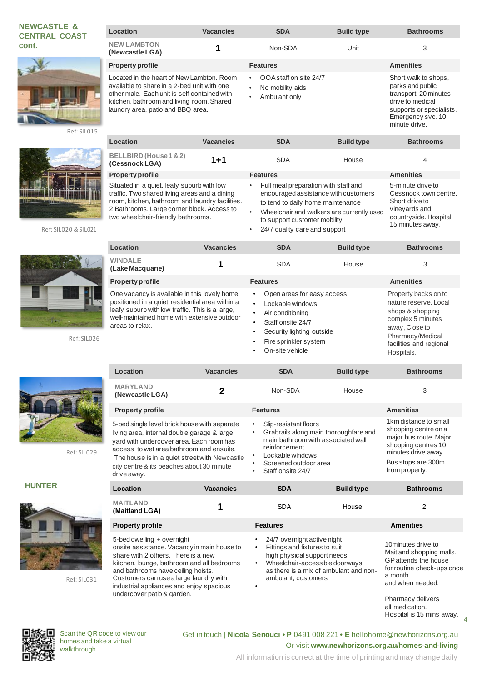### **NEWCASTLE & CENTRAL COAST cont.**



Ref: SIL015



Ref: SIL020 & SIL021



Ref: SIL026





Ref: SIL031

| Location                                                                                                                                                                                                                   | <b>Vacancies</b> | <b>SDA</b>                                                                 | <b>Build type</b> | <b>Bathrooms</b>                                                                                                                                        |
|----------------------------------------------------------------------------------------------------------------------------------------------------------------------------------------------------------------------------|------------------|----------------------------------------------------------------------------|-------------------|---------------------------------------------------------------------------------------------------------------------------------------------------------|
| <b>NEW LAMBTON</b><br>(Newcastle LGA)                                                                                                                                                                                      |                  | Non-SDA                                                                    | Unit              | 3                                                                                                                                                       |
| <b>Property profile</b>                                                                                                                                                                                                    |                  | <b>Features</b>                                                            |                   | <b>Amenities</b>                                                                                                                                        |
| Located in the heart of New Lambton, Room<br>available to share in a 2-bed unit with one<br>other male. Each unit is self contained with<br>kitchen, bathroom and living room. Shared<br>laundry area, patio and BBQ area. |                  | OOA staff on site 24/7<br>٠<br>No mobility aids<br>٠<br>Ambulant only<br>٠ |                   | Short walk to shops,<br>parks and public<br>transport. 20 minutes<br>drive to medical<br>supports or specialists.<br>Emergency svc. 10<br>minute drive. |
| Location                                                                                                                                                                                                                   | <b>Vacancies</b> | <b>SDA</b>                                                                 | <b>Build type</b> | <b>Bathrooms</b>                                                                                                                                        |
| BELLBIRD (House 1 & 2)                                                                                                                                                                                                     | 1.1              | CD A                                                                       | 11222             | $\overline{ }$                                                                                                                                          |

**(Cessnock LGA) 1+1** SDA House 44

**Property profile Features Amenities** Situated in a quiet, leafy suburb with low traffic. Two shared living areas and a dining room, kitchen, bathroom and laundry facilities. 2 Bathrooms. Large corner block. Access to two wheelchair-friendly bathrooms.

| Location                                                                                                                                                                                                             | <b>Vacancies</b> | <b>SDA</b>                                                                                                                                                                    | <b>Build type</b> | <b>Bathrooms</b>                                                                                                                                                      |
|----------------------------------------------------------------------------------------------------------------------------------------------------------------------------------------------------------------------|------------------|-------------------------------------------------------------------------------------------------------------------------------------------------------------------------------|-------------------|-----------------------------------------------------------------------------------------------------------------------------------------------------------------------|
| <b>WINDALE</b><br>(Lake Macquarie)                                                                                                                                                                                   |                  | <b>SDA</b>                                                                                                                                                                    | House             | 3                                                                                                                                                                     |
| <b>Property profile</b>                                                                                                                                                                                              |                  | <b>Features</b>                                                                                                                                                               |                   | <b>Amenities</b>                                                                                                                                                      |
| One vacancy is available in this lovely home<br>positioned in a quiet residential area within a<br>leafy suburb with low traffic. This is a large,<br>well-maintained home with extensive outdoor<br>areas to relax. |                  | Open areas for easy access<br>$\bullet$<br>Lockable windows<br>Air conditioning<br>Staff onsite 24/7<br>Security lighting outside<br>Fire sprinkler system<br>On-site vehicle |                   | Property backs on to<br>nature reserve, Local<br>shops & shopping<br>complex 5 minutes<br>away, Close to<br>Pharmacy/Medical<br>facilities and regional<br>Hospitals. |

• Full meal preparation with staff and encouraged assistance with customers to tend to daily home maintenance • Wheelchair and walkers are currently used

to support customer mobility 24/7 quality care and support

|               | Location                                                                                                                                                                                                                                                                                         | <b>Vacancies</b> | <b>SDA</b>                                                                                                                                                                              | <b>Build type</b> | <b>Bathrooms</b>                                                                                                                                              |
|---------------|--------------------------------------------------------------------------------------------------------------------------------------------------------------------------------------------------------------------------------------------------------------------------------------------------|------------------|-----------------------------------------------------------------------------------------------------------------------------------------------------------------------------------------|-------------------|---------------------------------------------------------------------------------------------------------------------------------------------------------------|
| Ref: SIL029   | <b>MARYLAND</b><br>(Newcastle LGA)                                                                                                                                                                                                                                                               |                  | Non-SDA                                                                                                                                                                                 | House             | 3                                                                                                                                                             |
|               | <b>Property profile</b>                                                                                                                                                                                                                                                                          |                  | <b>Features</b>                                                                                                                                                                         |                   | <b>Amenities</b>                                                                                                                                              |
|               | 5-bed single level brick house with separate<br>living area, internal double garage & large<br>yard with undercover area. Each room has<br>access to wet area bathroom and ensuite.<br>The house is in a quiet street with Newcastle<br>city centre & its beaches about 30 minute<br>drive away. |                  | Slip-resistant floors<br>Grabrails along main thoroughfare and<br>main bathroom with associated wall<br>reinforcement<br>Lockable windows<br>Screened outdoor area<br>Staff onsite 24/7 |                   | 1km distance to small<br>shopping centre on a<br>major bus route. Major<br>shopping centres 10<br>minutes drive away.<br>Bus stops are 300m<br>from property. |
| <b>HUNTER</b> | Location                                                                                                                                                                                                                                                                                         | <b>Vacancies</b> | <b>SDA</b>                                                                                                                                                                              | <b>Build type</b> | <b>Bathrooms</b>                                                                                                                                              |

| <b>Property profile</b>                     |
|---------------------------------------------|
| 5-bed dwelling + overnight                  |
| onsite assistance. Vacancy in main house to |
| share with 2 others. There is a new         |
| kitchen, lounge, bathroom and all bedrooms  |
| and bathrooms have ceiling hoists.          |
| Customers can use a large laundry with      |
| industrial appliances and enjoy spacious    |
| undercover patio & garden.                  |

| <b>MAITLAND</b><br>(Maitland LGA)                                                                                                                                                                                                                                                                                        | <b>SDA</b>                                                                                                         | House                                                                                                   | 2                                                                                                                                                         |
|--------------------------------------------------------------------------------------------------------------------------------------------------------------------------------------------------------------------------------------------------------------------------------------------------------------------------|--------------------------------------------------------------------------------------------------------------------|---------------------------------------------------------------------------------------------------------|-----------------------------------------------------------------------------------------------------------------------------------------------------------|
| <b>Property profile</b>                                                                                                                                                                                                                                                                                                  | <b>Features</b>                                                                                                    |                                                                                                         | <b>Amenities</b>                                                                                                                                          |
| 5-bed dwelling + overnight<br>onsite assistance. Vacancy in main house to<br>share with 2 others. There is a new<br>kitchen, lounge, bathroom and all bedrooms<br>and bathrooms have ceiling hoists.<br>Customers can use a large laundry with<br>industrial appliances and enjoy spacious<br>undercover patio & garden. | 24/7 overnight active night<br>Fittings and fixtures to suit<br>٠<br>$\bullet$<br>ambulant, customers<br>$\bullet$ | high physical support needs<br>Wheelchair-accessible doorways<br>as there is a mix of ambulant and non- | 10 minutes drive to<br>Maitland shopping malls.<br>GP attends the house<br>for routine check-ups once<br>a month<br>and when needed.<br>Pharmacy delivers |

4 all medication. Hospital is 15 mins away.

5-minute drive to Cessnock town centre.

Short drive to vineyards and countryside. Hospital 15 minutes away.



Scan the QR code to view our homes and take a virtual walkthrough

Get in touch | **Nicola Senouci • P** 0491 008 221 **• E** hellohome@newhorizons.org.au Or visit **www.newhorizons.org.au/homes-and-living**

All information is correct at the time of printing and may change daily